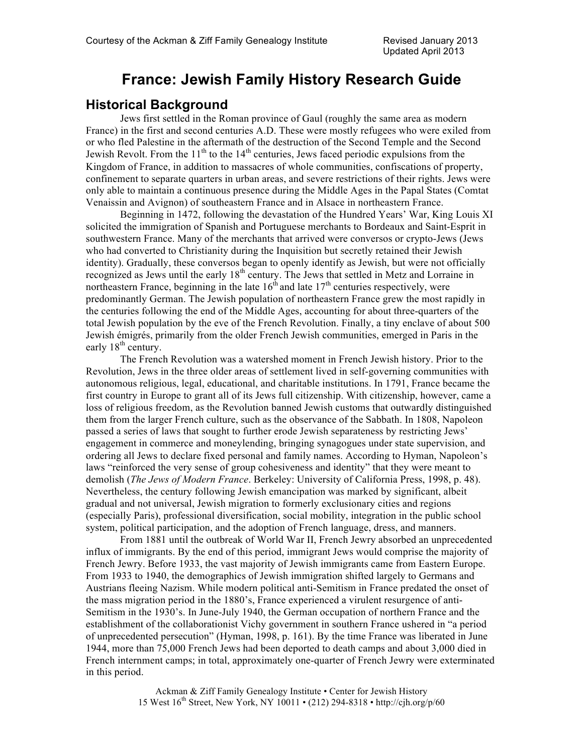# **France: Jewish Family History Research Guide**

## **Historical Background**

Jews first settled in the Roman province of Gaul (roughly the same area as modern France) in the first and second centuries A.D. These were mostly refugees who were exiled from or who fled Palestine in the aftermath of the destruction of the Second Temple and the Second Jewish Revolt. From the  $11<sup>th</sup>$  to the  $14<sup>th</sup>$  centuries, Jews faced periodic expulsions from the Kingdom of France, in addition to massacres of whole communities, confiscations of property, confinement to separate quarters in urban areas, and severe restrictions of their rights. Jews were only able to maintain a continuous presence during the Middle Ages in the Papal States (Comtat Venaissin and Avignon) of southeastern France and in Alsace in northeastern France.

Beginning in 1472, following the devastation of the Hundred Years' War, King Louis XI solicited the immigration of Spanish and Portuguese merchants to Bordeaux and Saint-Esprit in southwestern France. Many of the merchants that arrived were conversos or crypto-Jews (Jews who had converted to Christianity during the Inquisition but secretly retained their Jewish identity). Gradually, these conversos began to openly identify as Jewish, but were not officially recognized as Jews until the early 18<sup>th</sup> century. The Jews that settled in Metz and Lorraine in northeastern France, beginning in the late  $16^{th}$  and late  $17^{th}$  centuries respectively, were predominantly German. The Jewish population of northeastern France grew the most rapidly in the centuries following the end of the Middle Ages, accounting for about three-quarters of the total Jewish population by the eve of the French Revolution. Finally, a tiny enclave of about 500 Jewish émigrés, primarily from the older French Jewish communities, emerged in Paris in the early  $18<sup>th</sup>$  century.

The French Revolution was a watershed moment in French Jewish history. Prior to the Revolution, Jews in the three older areas of settlement lived in self-governing communities with autonomous religious, legal, educational, and charitable institutions. In 1791, France became the first country in Europe to grant all of its Jews full citizenship. With citizenship, however, came a loss of religious freedom, as the Revolution banned Jewish customs that outwardly distinguished them from the larger French culture, such as the observance of the Sabbath. In 1808, Napoleon passed a series of laws that sought to further erode Jewish separateness by restricting Jews' engagement in commerce and moneylending, bringing synagogues under state supervision, and ordering all Jews to declare fixed personal and family names. According to Hyman, Napoleon's laws "reinforced the very sense of group cohesiveness and identity" that they were meant to demolish (*The Jews of Modern France*. Berkeley: University of California Press, 1998, p. 48). Nevertheless, the century following Jewish emancipation was marked by significant, albeit gradual and not universal, Jewish migration to formerly exclusionary cities and regions (especially Paris), professional diversification, social mobility, integration in the public school system, political participation, and the adoption of French language, dress, and manners.

From 1881 until the outbreak of World War II, French Jewry absorbed an unprecedented influx of immigrants. By the end of this period, immigrant Jews would comprise the majority of French Jewry. Before 1933, the vast majority of Jewish immigrants came from Eastern Europe. From 1933 to 1940, the demographics of Jewish immigration shifted largely to Germans and Austrians fleeing Nazism. While modern political anti-Semitism in France predated the onset of the mass migration period in the 1880's, France experienced a virulent resurgence of anti-Semitism in the 1930's. In June-July 1940, the German occupation of northern France and the establishment of the collaborationist Vichy government in southern France ushered in "a period of unprecedented persecution" (Hyman, 1998, p. 161). By the time France was liberated in June 1944, more than 75,000 French Jews had been deported to death camps and about 3,000 died in French internment camps; in total, approximately one-quarter of French Jewry were exterminated in this period.

> Ackman & Ziff Family Genealogy Institute • Center for Jewish History 15 West 16th Street, New York, NY 10011 • (212) 294-8318 • http://cjh.org/p/60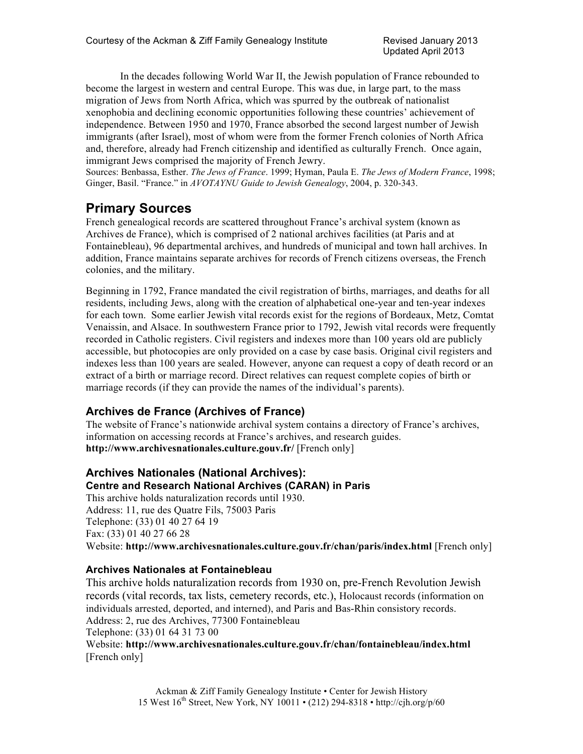In the decades following World War II, the Jewish population of France rebounded to become the largest in western and central Europe. This was due, in large part, to the mass migration of Jews from North Africa, which was spurred by the outbreak of nationalist xenophobia and declining economic opportunities following these countries' achievement of independence. Between 1950 and 1970, France absorbed the second largest number of Jewish immigrants (after Israel), most of whom were from the former French colonies of North Africa and, therefore, already had French citizenship and identified as culturally French. Once again, immigrant Jews comprised the majority of French Jewry.

Sources: Benbassa, Esther. *The Jews of France*. 1999; Hyman, Paula E. *The Jews of Modern France*, 1998; Ginger, Basil. "France." in *AVOTAYNU Guide to Jewish Genealogy*, 2004, p. 320-343.

## **Primary Sources**

French genealogical records are scattered throughout France's archival system (known as Archives de France), which is comprised of 2 national archives facilities (at Paris and at Fontainebleau), 96 departmental archives, and hundreds of municipal and town hall archives. In addition, France maintains separate archives for records of French citizens overseas, the French colonies, and the military.

Beginning in 1792, France mandated the civil registration of births, marriages, and deaths for all residents, including Jews, along with the creation of alphabetical one-year and ten-year indexes for each town. Some earlier Jewish vital records exist for the regions of Bordeaux, Metz, Comtat Venaissin, and Alsace. In southwestern France prior to 1792, Jewish vital records were frequently recorded in Catholic registers. Civil registers and indexes more than 100 years old are publicly accessible, but photocopies are only provided on a case by case basis. Original civil registers and indexes less than 100 years are sealed. However, anyone can request a copy of death record or an extract of a birth or marriage record. Direct relatives can request complete copies of birth or marriage records (if they can provide the names of the individual's parents).

## **Archives de France (Archives of France)**

The website of France's nationwide archival system contains a directory of France's archives, information on accessing records at France's archives, and research guides. **http://www.archivesnationales.culture.gouv.fr/** [French only]

## **Archives Nationales (National Archives):**

### **Centre and Research National Archives (CARAN) in Paris**

This archive holds naturalization records until 1930. Address: 11, rue des Quatre Fils, 75003 Paris Telephone: (33) 01 40 27 64 19 Fax: (33) 01 40 27 66 28 Website: **http://www.archivesnationales.culture.gouv.fr/chan/paris/index.html** [French only]

### **Archives Nationales at Fontainebleau**

This archive holds naturalization records from 1930 on, pre-French Revolution Jewish records (vital records, tax lists, cemetery records, etc.), Holocaust records (information on individuals arrested, deported, and interned), and Paris and Bas-Rhin consistory records. Address: 2, rue des Archives, 77300 Fontainebleau Telephone: (33) 01 64 31 73 00 Website: **http://www.archivesnationales.culture.gouv.fr/chan/fontainebleau/index.html** [French only]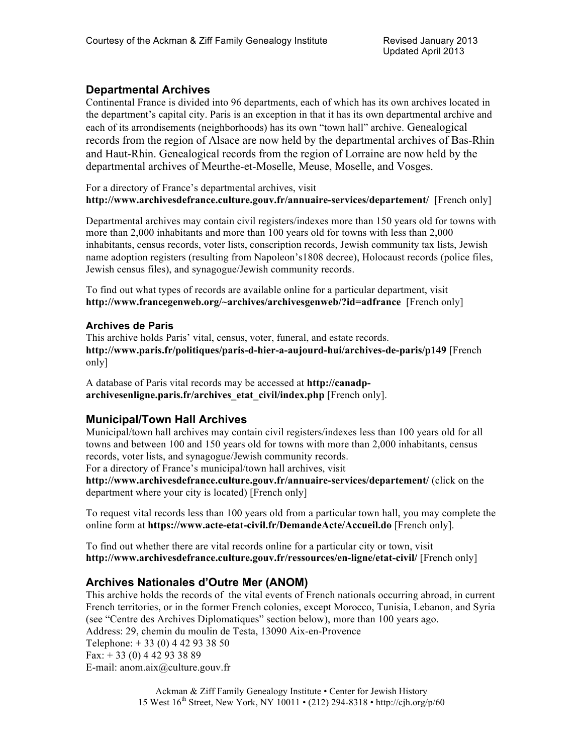## **Departmental Archives**

Continental France is divided into 96 departments, each of which has its own archives located in the department's capital city. Paris is an exception in that it has its own departmental archive and each of its arrondisements (neighborhoods) has its own "town hall" archive. Genealogical records from the region of Alsace are now held by the departmental archives of Bas-Rhin and Haut-Rhin. Genealogical records from the region of Lorraine are now held by the departmental archives of Meurthe-et-Moselle, Meuse, Moselle, and Vosges.

For a directory of France's departmental archives, visit **http://www.archivesdefrance.culture.gouv.fr/annuaire-services/departement/** [French only]

Departmental archives may contain civil registers/indexes more than 150 years old for towns with more than 2,000 inhabitants and more than 100 years old for towns with less than 2,000 inhabitants, census records, voter lists, conscription records, Jewish community tax lists, Jewish name adoption registers (resulting from Napoleon's1808 decree), Holocaust records (police files, Jewish census files), and synagogue/Jewish community records.

To find out what types of records are available online for a particular department, visit **http://www.francegenweb.org/~archives/archivesgenweb/?id=adfrance** [French only]

### **Archives de Paris**

This archive holds Paris' vital, census, voter, funeral, and estate records. **http://www.paris.fr/politiques/paris-d-hier-a-aujourd-hui/archives-de-paris/p149** [French only]

A database of Paris vital records may be accessed at **http://canadparchivesenligne.paris.fr/archives\_etat\_civil/index.php** [French only].

## **Municipal/Town Hall Archives**

Municipal/town hall archives may contain civil registers/indexes less than 100 years old for all towns and between 100 and 150 years old for towns with more than 2,000 inhabitants, census records, voter lists, and synagogue/Jewish community records.

For a directory of France's municipal/town hall archives, visit **http://www.archivesdefrance.culture.gouv.fr/annuaire-services/departement/** (click on the

department where your city is located) [French only]

To request vital records less than 100 years old from a particular town hall, you may complete the online form at **https://www.acte-etat-civil.fr/DemandeActe/Accueil.do** [French only].

To find out whether there are vital records online for a particular city or town, visit **http://www.archivesdefrance.culture.gouv.fr/ressources/en-ligne/etat-civil/** [French only]

## **Archives Nationales d'Outre Mer (ANOM)**

This archive holds the records of the vital events of French nationals occurring abroad, in current French territories, or in the former French colonies, except Morocco, Tunisia, Lebanon, and Syria (see "Centre des Archives Diplomatiques" section below), more than 100 years ago. Address: 29, chemin du moulin de Testa, 13090 Aix-en-Provence Telephone: + 33 (0) 4 42 93 38 50  $Fax: + 33(0) 4 42 93 38 89$ E-mail: anom.aix@culture.gouv.fr

> Ackman & Ziff Family Genealogy Institute • Center for Jewish History 15 West  $16^{th}$  Street, New York, NY 10011 • (212) 294-8318 • http://cjh.org/p/60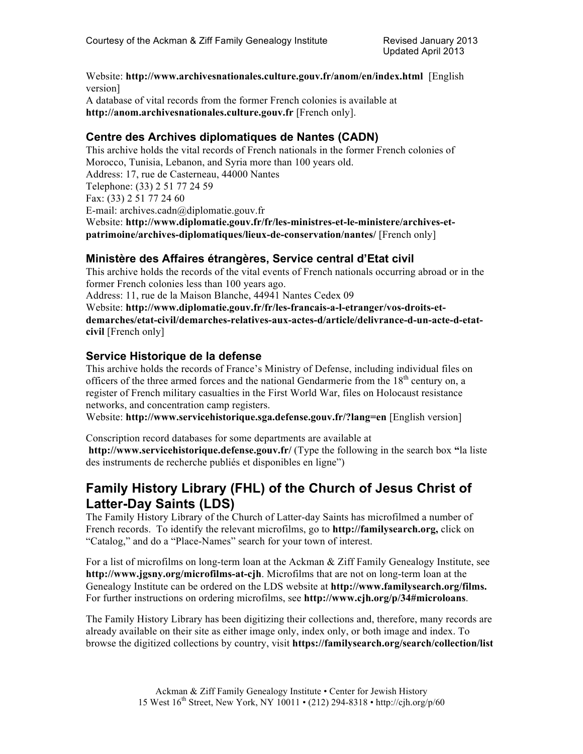Website: **http://www.archivesnationales.culture.gouv.fr/anom/en/index.html** [English version] A database of vital records from the former French colonies is available at **http://anom.archivesnationales.culture.gouv.fr** [French only].

## **Centre des Archives diplomatiques de Nantes (CADN)**

This archive holds the vital records of French nationals in the former French colonies of Morocco, Tunisia, Lebanon, and Syria more than 100 years old. Address: 17, rue de Casterneau, 44000 Nantes Telephone: (33) 2 51 77 24 59 Fax: (33) 2 51 77 24 60 E-mail: archives.cadn@diplomatie.gouv.fr Website: **http://www.diplomatie.gouv.fr/fr/les-ministres-et-le-ministere/archives-etpatrimoine/archives-diplomatiques/lieux-de-conservation/nantes/** [French only]

## **Ministère des Affaires étrangères, Service central d'Etat civil**

This archive holds the records of the vital events of French nationals occurring abroad or in the former French colonies less than 100 years ago.

Address: 11, rue de la Maison Blanche, 44941 Nantes Cedex 09

Website: **http://www.diplomatie.gouv.fr/fr/les-francais-a-l-etranger/vos-droits-etdemarches/etat-civil/demarches-relatives-aux-actes-d/article/delivrance-d-un-acte-d-etatcivil** [French only]

## **Service Historique de la defense**

This archive holds the records of France's Ministry of Defense, including individual files on officers of the three armed forces and the national Gendarmerie from the  $18<sup>th</sup>$  century on, a register of French military casualties in the First World War, files on Holocaust resistance networks, and concentration camp registers.

Website: **http://www.servicehistorique.sga.defense.gouv.fr/?lang=en** [English version]

Conscription record databases for some departments are available at **http://www.servicehistorique.defense.gouv.fr/** (Type the following in the search box **"**la liste des instruments de recherche publiés et disponibles en ligne")

# **Family History Library (FHL) of the Church of Jesus Christ of Latter-Day Saints (LDS)**

The Family History Library of the Church of Latter-day Saints has microfilmed a number of French records. To identify the relevant microfilms, go to **http://familysearch.org,** click on "Catalog," and do a "Place-Names" search for your town of interest.

For a list of microfilms on long-term loan at the Ackman  $&$  Ziff Family Genealogy Institute, see **http://www.jgsny.org/microfilms-at-cjh**. Microfilms that are not on long-term loan at the Genealogy Institute can be ordered on the LDS website at **http://www.familysearch.org/films.**  For further instructions on ordering microfilms, see **http://www.cjh.org/p/34#microloans**.

The Family History Library has been digitizing their collections and, therefore, many records are already available on their site as either image only, index only, or both image and index. To browse the digitized collections by country, visit **https://familysearch.org/search/collection/list**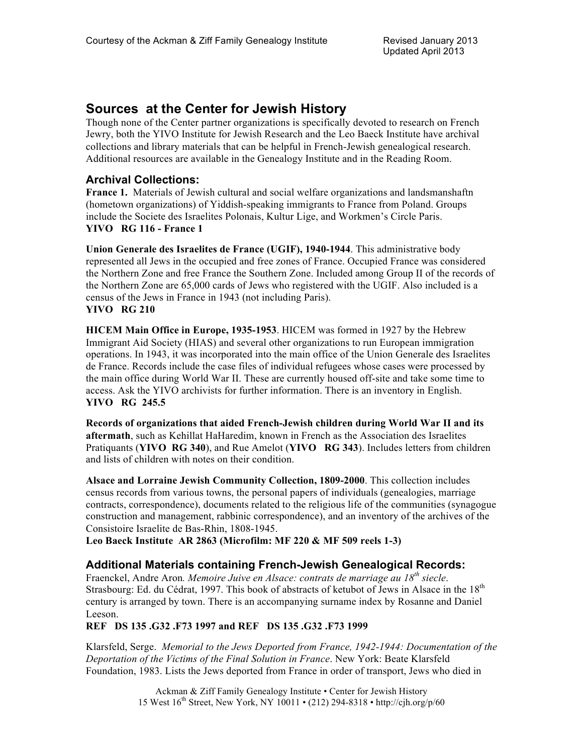## **Sources at the Center for Jewish History**

Though none of the Center partner organizations is specifically devoted to research on French Jewry, both the YIVO Institute for Jewish Research and the Leo Baeck Institute have archival collections and library materials that can be helpful in French-Jewish genealogical research. Additional resources are available in the Genealogy Institute and in the Reading Room.

## **Archival Collections:**

**France 1.** Materials of Jewish cultural and social welfare organizations and landsmanshaftn (hometown organizations) of Yiddish-speaking immigrants to France from Poland. Groups include the Societe des Israelites Polonais, Kultur Lige, and Workmen's Circle Paris. **YIVO RG 116 - France 1**

**Union Generale des Israelites de France (UGIF), 1940-1944**. This administrative body represented all Jews in the occupied and free zones of France. Occupied France was considered the Northern Zone and free France the Southern Zone. Included among Group II of the records of the Northern Zone are 65,000 cards of Jews who registered with the UGIF. Also included is a census of the Jews in France in 1943 (not including Paris). **YIVO RG 210**

**HICEM Main Office in Europe, 1935-1953**. HICEM was formed in 1927 by the Hebrew Immigrant Aid Society (HIAS) and several other organizations to run European immigration operations. In 1943, it was incorporated into the main office of the Union Generale des Israelites de France. Records include the case files of individual refugees whose cases were processed by the main office during World War II. These are currently housed off-site and take some time to access. Ask the YIVO archivists for further information. There is an inventory in English. **YIVO RG 245.5**

**Records of organizations that aided French-Jewish children during World War II and its aftermath**, such as Kehillat HaHaredim, known in French as the Association des Israelites Pratiquants (**YIVO RG 340**), and Rue Amelot (**YIVO RG 343**). Includes letters from children and lists of children with notes on their condition.

**Alsace and Lorraine Jewish Community Collection, 1809-2000**. This collection includes census records from various towns, the personal papers of individuals (genealogies, marriage contracts, correspondence), documents related to the religious life of the communities (synagogue construction and management, rabbinic correspondence), and an inventory of the archives of the Consistoire Israelite de Bas-Rhin, 1808-1945.

**Leo Baeck Institute AR 2863 (Microfilm: MF 220 & MF 509 reels 1-3)**

### **Additional Materials containing French-Jewish Genealogical Records:**

Fraenckel, Andre Aron*. Memoire Juive en Alsace: contrats de marriage au 18th siecle*. Strasbourg: Ed. du Cédrat, 1997. This book of abstracts of ketubot of Jews in Alsace in the 18<sup>th</sup> century is arranged by town. There is an accompanying surname index by Rosanne and Daniel Leeson.

**REF DS 135 .G32 .F73 1997 and REF DS 135 .G32 .F73 1999**

Klarsfeld, Serge. *Memorial to the Jews Deported from France, 1942-1944: Documentation of the Deportation of the Victims of the Final Solution in France*. New York: Beate Klarsfeld Foundation, 1983. Lists the Jews deported from France in order of transport, Jews who died in

> Ackman & Ziff Family Genealogy Institute • Center for Jewish History 15 West  $16^{th}$  Street, New York, NY 10011 • (212) 294-8318 • http://cjh.org/p/60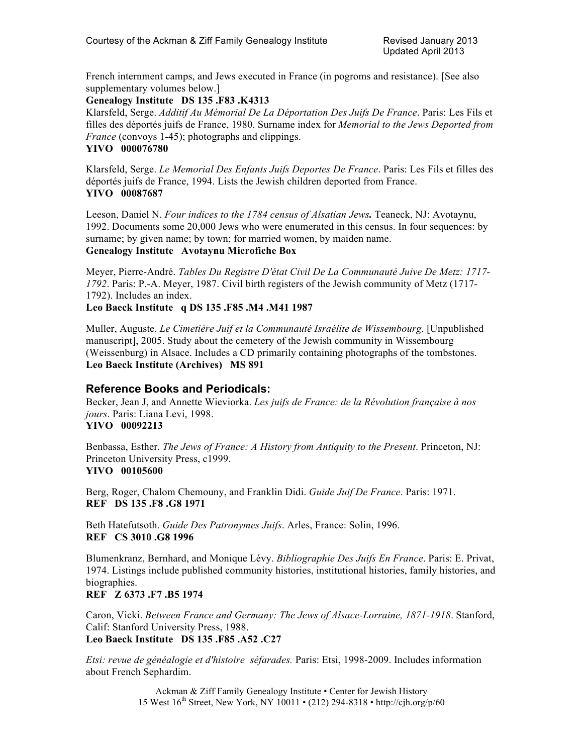French internment camps, and Jews executed in France (in pogroms and resistance). [See also supplementary volumes below.]

#### **Genealogy Institute DS 135 .F83 .K4313**

Klarsfeld, Serge. *Additif Au Mémorial De La Déportation Des Juifs De France*. Paris: Les Fils et filles des déportés juifs de France, 1980. Surname index for *Memorial to the Jews Deported from France* (convoys 1-45); photographs and clippings.

#### **YIVO 000076780**

Klarsfeld, Serge. *Le Memorial Des Enfants Juifs Deportes De France*. Paris: Les Fils et filles des déportés juifs de France, 1994. Lists the Jewish children deported from France. **YIVO 00087687**

Leeson, Daniel N. *Four indices to the 1784 census of Alsatian Jews.* Teaneck, NJ: Avotaynu, 1992. Documents some 20,000 Jews who were enumerated in this census. In four sequences: by surname; by given name; by town; for married women, by maiden name. **Genealogy Institute Avotaynu Microfiche Box**

Meyer, Pierre-André. *Tables Du Registre D'état Civil De La Communauté Juive De Metz: 1717- 1792*. Paris: P.-A. Meyer, 1987. Civil birth registers of the Jewish community of Metz (1717- 1792). Includes an index.

#### **Leo Baeck Institute q DS 135 .F85 .M4 .M41 1987**

Muller, Auguste. *Le Cimetière Juif et la Communauté Israélite de Wissembourg*. [Unpublished manuscript], 2005. Study about the cemetery of the Jewish community in Wissembourg (Weissenburg) in Alsace. Includes a CD primarily containing photographs of the tombstones. **Leo Baeck Institute (Archives) MS 891**

## **Reference Books and Periodicals:**

Becker, Jean J, and Annette Wieviorka. *Les juifs de France: de la Révolution française à nos jours*. Paris: Liana Levi, 1998. **YIVO 00092213**

Benbassa, Esther. *The Jews of France: A History from Antiquity to the Present*. Princeton, NJ: Princeton University Press, c1999.

#### **YIVO 00105600**

Berg, Roger, Chalom Chemouny, and Franklin Didi. *Guide Juif De France*. Paris: 1971. **REF DS 135 .F8 .G8 1971**

Beth Hatefutsoth. *Guide Des Patronymes Juifs*. Arles, France: Solin, 1996. **REF CS 3010 .G8 1996**

Blumenkranz, Bernhard, and Monique Lévy. *Bibliographie Des Juifs En France*. Paris: E. Privat, 1974. Listings include published community histories, institutional histories, family histories, and biographies.

### **REF Z 6373 .F7 .B5 1974**

Caron, Vicki. *Between France and Germany: The Jews of Alsace-Lorraine, 1871-1918*. Stanford, Calif: Stanford University Press, 1988. **Leo Baeck Institute DS 135 .F85 .A52 .C27**

*Etsi: revue de généalogie et d'histoire séfarades.* Paris: Etsi, 1998-2009. Includes information about French Sephardim.

> Ackman & Ziff Family Genealogy Institute • Center for Jewish History 15 West 16th Street, New York, NY 10011 • (212) 294-8318 • http://cjh.org/p/60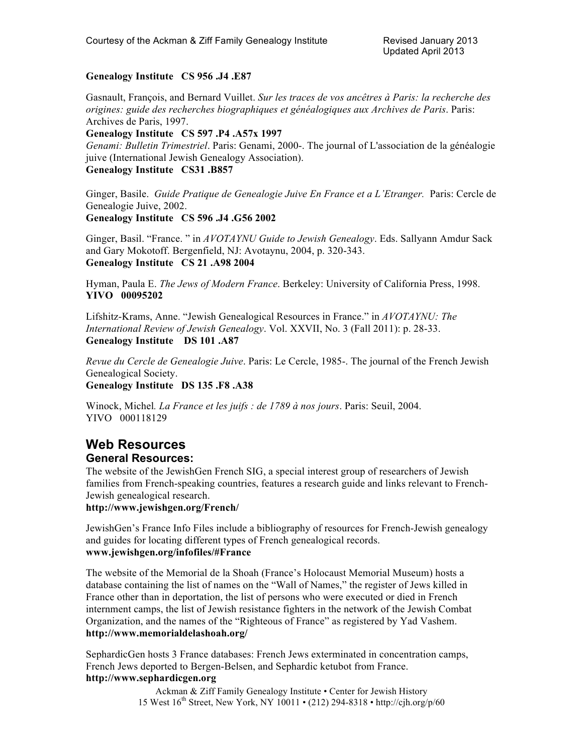#### **Genealogy Institute CS 956 .J4 .E87**

Gasnault, François, and Bernard Vuillet. *Sur les traces de vos ancêtres à Paris: la recherche des origines: guide des recherches biographiques et généalogiques aux Archives de Paris*. Paris: Archives de Paris, 1997.

#### **Genealogy Institute CS 597 .P4 .A57x 1997**

*Genami: Bulletin Trimestriel*. Paris: Genami, 2000-. The journal of L'association de la généalogie juive (International Jewish Genealogy Association). **Genealogy Institute CS31 .B857**

Ginger, Basile. *Guide Pratique de Genealogie Juive En France et a L'Etranger.* Paris: Cercle de Genealogie Juive, 2002.

#### **Genealogy Institute CS 596 .J4 .G56 2002**

Ginger, Basil. "France. " in *AVOTAYNU Guide to Jewish Genealogy*. Eds. Sallyann Amdur Sack and Gary Mokotoff. Bergenfield, NJ: Avotaynu, 2004, p. 320-343. **Genealogy Institute CS 21 .A98 2004**

Hyman, Paula E. *The Jews of Modern France*. Berkeley: University of California Press, 1998. **YIVO 00095202**

Lifshitz-Krams, Anne. "Jewish Genealogical Resources in France." in *AVOTAYNU: The International Review of Jewish Genealogy*. Vol. XXVII, No. 3 (Fall 2011): p. 28-33. **Genealogy Institute DS 101 .A87**

*Revue du Cercle de Genealogie Juive*. Paris: Le Cercle, 1985-. The journal of the French Jewish Genealogical Society.

**Genealogy Institute DS 135 .F8 .A38**

Winock, Michel*. La France et les juifs : de 1789 à nos jours*. Paris: Seuil, 2004. YIVO 000118129

# **Web Resources**

#### **General Resources:**

The website of the JewishGen French SIG, a special interest group of researchers of Jewish families from French-speaking countries, features a research guide and links relevant to French-Jewish genealogical research.

#### **http://www.jewishgen.org/French/**

JewishGen's France Info Files include a bibliography of resources for French-Jewish genealogy and guides for locating different types of French genealogical records. **www.jewishgen.org/infofiles/#France**

The website of the Memorial de la Shoah (France's Holocaust Memorial Museum) hosts a database containing the list of names on the "Wall of Names," the register of Jews killed in France other than in deportation, the list of persons who were executed or died in French internment camps, the list of Jewish resistance fighters in the network of the Jewish Combat Organization, and the names of the "Righteous of France" as registered by Yad Vashem. **http://www.memorialdelashoah.org/**

SephardicGen hosts 3 France databases: French Jews exterminated in concentration camps, French Jews deported to Bergen-Belsen, and Sephardic ketubot from France. **http://www.sephardicgen.org**

> Ackman & Ziff Family Genealogy Institute • Center for Jewish History 15 West 16th Street, New York, NY 10011 • (212) 294-8318 • http://cjh.org/p/60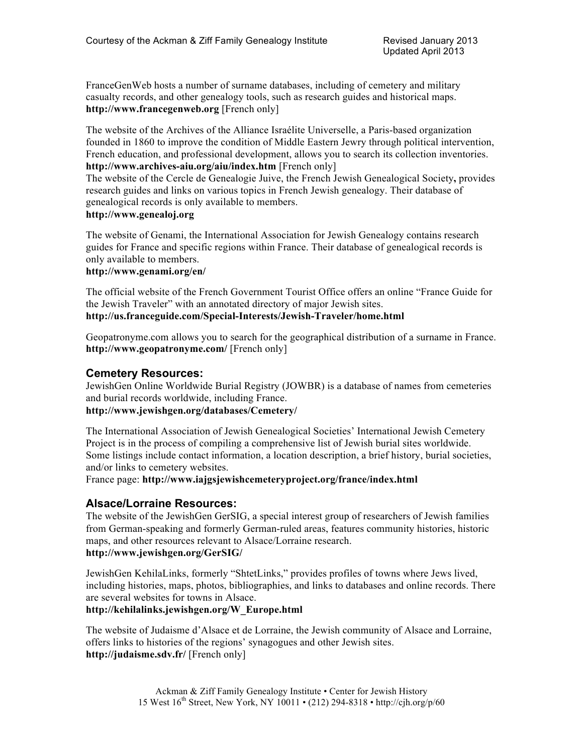FranceGenWeb hosts a number of surname databases, including of cemetery and military casualty records, and other genealogy tools, such as research guides and historical maps. **http://www.francegenweb.org** [French only]

The website of the Archives of the Alliance Israélite Universelle, a Paris-based organization founded in 1860 to improve the condition of Middle Eastern Jewry through political intervention, French education, and professional development, allows you to search its collection inventories. **http://www.archives-aiu.org/aiu/index.htm** [French only]

The website of the Cercle de Genealogie Juive, the French Jewish Genealogical Society**,** provides research guides and links on various topics in French Jewish genealogy. Their database of genealogical records is only available to members.

#### **http://www.genealoj.org**

The website of Genami, the International Association for Jewish Genealogy contains research guides for France and specific regions within France. Their database of genealogical records is only available to members.

#### **http://www.genami.org/en/**

The official website of the French Government Tourist Office offers an online "France Guide for the Jewish Traveler" with an annotated directory of major Jewish sites. **http://us.franceguide.com/Special-Interests/Jewish-Traveler/home.html**

Geopatronyme.com allows you to search for the geographical distribution of a surname in France. **http://www.geopatronyme.com/** [French only]

#### **Cemetery Resources:**

JewishGen Online Worldwide Burial Registry (JOWBR) is a database of names from cemeteries and burial records worldwide, including France.

#### **http://www.jewishgen.org/databases/Cemetery/**

The International Association of Jewish Genealogical Societies' International Jewish Cemetery Project is in the process of compiling a comprehensive list of Jewish burial sites worldwide. Some listings include contact information, a location description, a brief history, burial societies, and/or links to cemetery websites.

France page: **http://www.iajgsjewishcemeteryproject.org/france/index.html**

#### **Alsace/Lorraine Resources:**

The website of the JewishGen GerSIG, a special interest group of researchers of Jewish families from German-speaking and formerly German-ruled areas, features community histories, historic maps, and other resources relevant to Alsace/Lorraine research. **http://www.jewishgen.org/GerSIG/**

JewishGen KehilaLinks, formerly "ShtetLinks," provides profiles of towns where Jews lived, including histories, maps, photos, bibliographies, and links to databases and online records. There are several websites for towns in Alsace.

#### **http://kehilalinks.jewishgen.org/W\_Europe.html**

The website of Judaisme d'Alsace et de Lorraine, the Jewish community of Alsace and Lorraine, offers links to histories of the regions' synagogues and other Jewish sites. **http://judaisme.sdv.fr/** [French only]